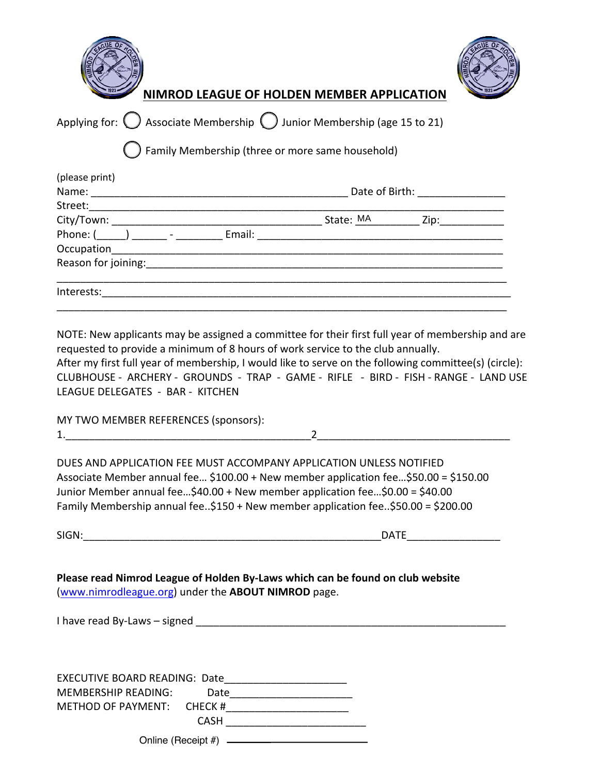| OF HO |     |
|-------|-----|
|       |     |
|       |     |
|       |     |
|       | NIM |



**NIMROD LEAGUE OF HOLDEN MEMBER APPLICATION**

|  |  | Applying for: $\bigcirc$ Associate Membership $\bigcirc$ Junior Membership (age 15 to 21) |
|--|--|-------------------------------------------------------------------------------------------|
|  |  |                                                                                           |

\_\_ Family Membership (three or more same household)

| (please print)                   |        |                               |                  |  |  |
|----------------------------------|--------|-------------------------------|------------------|--|--|
| Name:                            |        | Date of Birth: Note of Birth: |                  |  |  |
| Street: when the street:         |        |                               |                  |  |  |
| City/Town: _________             |        | State: MA                     | Zip:____________ |  |  |
| Phone: $(\_\_)$ _______ - ______ | Email: |                               |                  |  |  |
| Occupation_________              |        |                               |                  |  |  |
| Reason for joining:              |        |                               |                  |  |  |
|                                  |        |                               |                  |  |  |
| Interests:                       |        |                               |                  |  |  |
|                                  |        |                               |                  |  |  |

NOTE: New applicants may be assigned a committee for their first full year of membership and are requested to provide a minimum of 8 hours of work service to the club annually.

After my first full year of membership, I would like to serve on the following committee(s) (circle): CLUBHOUSE - ARCHERY - GROUNDS - TRAP - GAME - RIFLE - BIRD - FISH - RANGE - LAND USE LEAGUE DELEGATES - BAR - KITCHEN

| MY TWO MEMBER REFERENCES (sponsors): |  |
|--------------------------------------|--|
|                                      |  |

DUES AND APPLICATION FEE MUST ACCOMPANY APPLICATION UNLESS NOTIFIED Associate Member annual fee… \$100.00 + New member application fee…\$50.00 = \$150.00 Junior Member annual fee…\$40.00 + New member application fee…\$0.00 = \$40.00 Family Membership annual fee..\$150 + New member application fee..\$50.00 = \$200.00

| ۰.<br>v |  |
|---------|--|
|         |  |

 $\blacksquare$  DATE

**Please read Nimrod League of Holden By-Laws which can be found on club website** (www.nimrodleague.org) under the **ABOUT NIMROD** page.

I have read By-Laws – signed \_\_\_\_\_\_\_\_\_\_\_\_\_\_\_\_\_\_\_\_\_\_\_\_\_\_\_\_\_\_\_\_\_\_\_\_\_\_\_\_\_\_\_\_\_\_\_\_\_\_\_\_\_

EXECUTIVE BOARD READING: Date MEMBERSHIP READING: Date METHOD OF PAYMENT: CHECK #\_\_\_\_\_\_\_\_\_\_\_\_\_\_\_\_\_\_\_\_\_ CASH \_\_\_\_\_\_\_\_\_\_\_\_\_\_\_\_\_\_\_\_\_\_\_\_ Online (Receipt #)